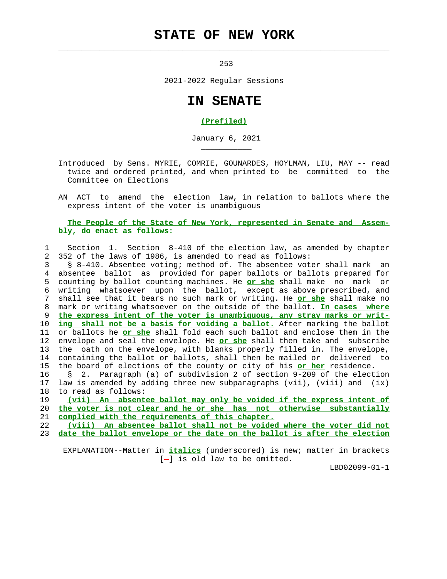## **STATE OF NEW YORK**

 $\mathcal{L}_\text{max} = \frac{1}{2} \sum_{i=1}^{n} \frac{1}{2} \sum_{i=1}^{n} \frac{1}{2} \sum_{i=1}^{n} \frac{1}{2} \sum_{i=1}^{n} \frac{1}{2} \sum_{i=1}^{n} \frac{1}{2} \sum_{i=1}^{n} \frac{1}{2} \sum_{i=1}^{n} \frac{1}{2} \sum_{i=1}^{n} \frac{1}{2} \sum_{i=1}^{n} \frac{1}{2} \sum_{i=1}^{n} \frac{1}{2} \sum_{i=1}^{n} \frac{1}{2} \sum_{i=1}^{n} \frac{1$ 

\_\_\_\_\_\_\_\_\_\_\_

<u>253</u>

2021-2022 Regular Sessions

## **IN SENATE**

## **(Prefiled)**

January 6, 2021

 Introduced by Sens. MYRIE, COMRIE, GOUNARDES, HOYLMAN, LIU, MAY -- read twice and ordered printed, and when printed to be committed to the Committee on Elections

 AN ACT to amend the election law, in relation to ballots where the express intent of the voter is unambiguous

## **The People of the State of New York, represented in Senate and Assem bly, do enact as follows:**

 1 Section 1. Section 8-410 of the election law, as amended by chapter 2 352 of the laws of 1986, is amended to read as follows:

 3 § 8-410. Absentee voting; method of. The absentee voter shall mark an 4 absentee ballot as provided for paper ballots or ballots prepared for 5 counting by ballot counting machines. He **or she** shall make no mark or 6 writing whatsoever upon the ballot, except as above prescribed, and 7 shall see that it bears no such mark or writing. He **or she** shall make no 8 mark or writing whatsoever on the outside of the ballot. **In cases where** 9 **the express intent of the voter is unambiguous, any stray marks or writ-** 10 **ing shall not be a basis for voiding a ballot.** After marking the ballot 11 or ballots he **or she** shall fold each such ballot and enclose them in the 12 envelope and seal the envelope. He **or she** shall then take and subscribe 13 the oath on the envelope, with blanks properly filled in. The envelope, 14 containing the ballot or ballots, shall then be mailed or delivered to 15 the board of elections of the county or city of his **or her** residence.

 16 § 2. Paragraph (a) of subdivision 2 of section 9-209 of the election 17 law is amended by adding three new subparagraphs (vii), (viii) and (ix) 18 to read as follows:

 19 **(vii) An absentee ballot may only be voided if the express intent of** 20 **the voter is not clear and he or she has not otherwise substantially** 21 **complied with the requirements of this chapter.**

 22 **(viii) An absentee ballot shall not be voided where the voter did not** 23 **date the ballot envelope or the date on the ballot is after the election**

 EXPLANATION--Matter in **italics** (underscored) is new; matter in brackets  $[-]$  is old law to be omitted.

LBD02099-01-1